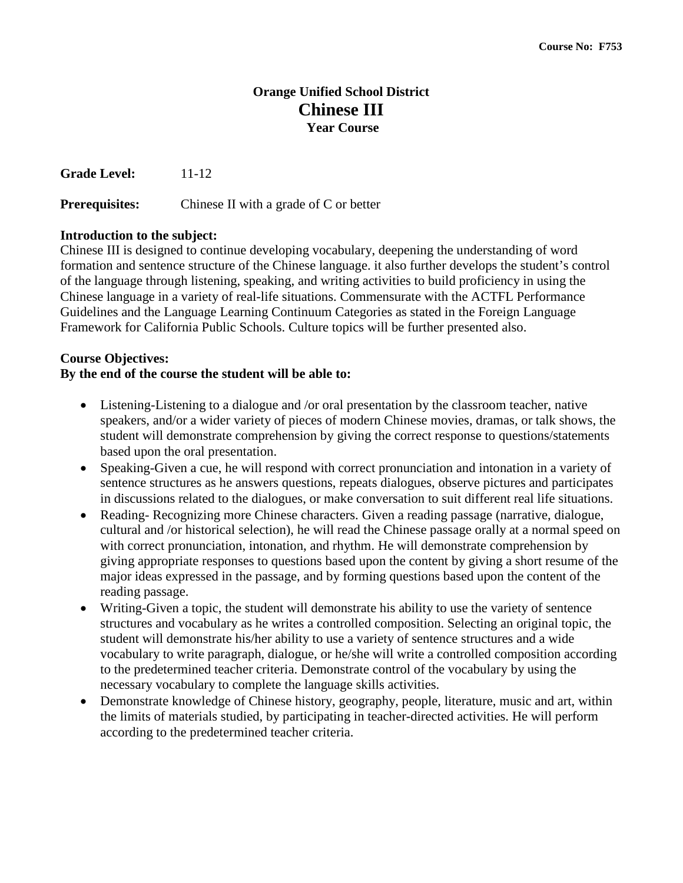# **Orange Unified School District Chinese III Year Course**

**Grade Level:** 11-12

**Prerequisites:** Chinese II with a grade of C or better

### **Introduction to the subject:**

Chinese III is designed to continue developing vocabulary, deepening the understanding of word formation and sentence structure of the Chinese language. it also further develops the student's control of the language through listening, speaking, and writing activities to build proficiency in using the Chinese language in a variety of real-life situations. Commensurate with the ACTFL Performance Guidelines and the Language Learning Continuum Categories as stated in the Foreign Language Framework for California Public Schools. Culture topics will be further presented also.

### **Course Objectives:**

### **By the end of the course the student will be able to:**

- Listening-Listening to a dialogue and /or oral presentation by the classroom teacher, native speakers, and/or a wider variety of pieces of modern Chinese movies, dramas, or talk shows, the student will demonstrate comprehension by giving the correct response to questions/statements based upon the oral presentation.
- Speaking-Given a cue, he will respond with correct pronunciation and intonation in a variety of sentence structures as he answers questions, repeats dialogues, observe pictures and participates in discussions related to the dialogues, or make conversation to suit different real life situations.
- Reading- Recognizing more Chinese characters. Given a reading passage (narrative, dialogue, cultural and /or historical selection), he will read the Chinese passage orally at a normal speed on with correct pronunciation, intonation, and rhythm. He will demonstrate comprehension by giving appropriate responses to questions based upon the content by giving a short resume of the major ideas expressed in the passage, and by forming questions based upon the content of the reading passage.
- Writing-Given a topic, the student will demonstrate his ability to use the variety of sentence structures and vocabulary as he writes a controlled composition. Selecting an original topic, the student will demonstrate his/her ability to use a variety of sentence structures and a wide vocabulary to write paragraph, dialogue, or he/she will write a controlled composition according to the predetermined teacher criteria. Demonstrate control of the vocabulary by using the necessary vocabulary to complete the language skills activities.
- Demonstrate knowledge of Chinese history, geography, people, literature, music and art, within the limits of materials studied, by participating in teacher-directed activities. He will perform according to the predetermined teacher criteria.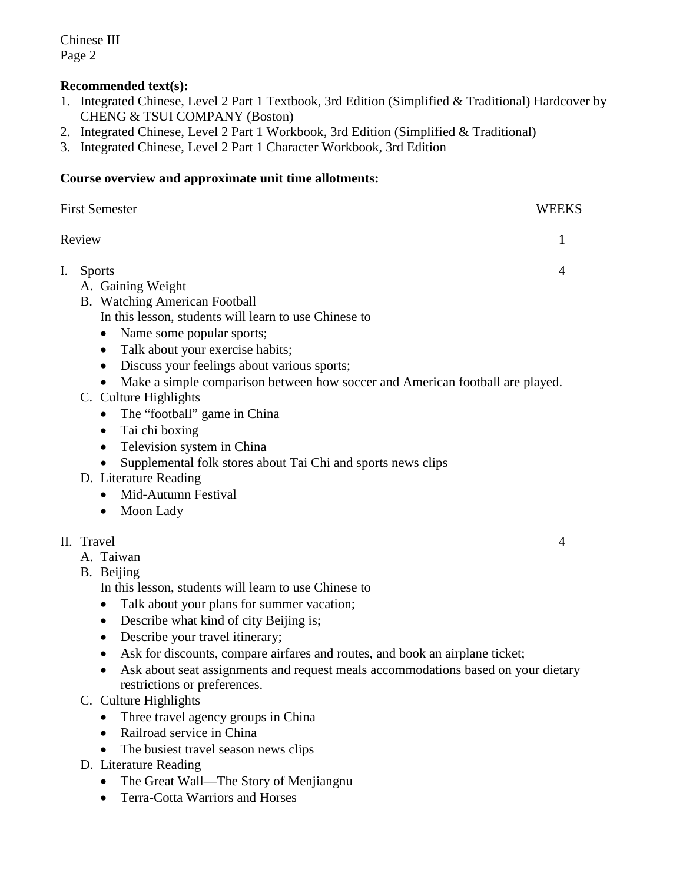## **Recommended text(s):**

- 1. Integrated Chinese, Level 2 Part 1 Textbook, 3rd Edition (Simplified & Traditional) Hardcover by CHENG & TSUI COMPANY (Boston)
- 2. Integrated Chinese, Level 2 Part 1 Workbook, 3rd Edition (Simplified & Traditional)
- 3. Integrated Chinese, Level 2 Part 1 Character Workbook, 3rd Edition

### **Course overview and approximate unit time allotments:**

| <b>First Semester</b> |                                                                                                                                                                                                                                                                                                                                                                                                                                                                                         |   |
|-----------------------|-----------------------------------------------------------------------------------------------------------------------------------------------------------------------------------------------------------------------------------------------------------------------------------------------------------------------------------------------------------------------------------------------------------------------------------------------------------------------------------------|---|
|                       | Review                                                                                                                                                                                                                                                                                                                                                                                                                                                                                  | 1 |
| I.                    | <b>Sports</b><br>A. Gaining Weight<br>B. Watching American Football<br>In this lesson, students will learn to use Chinese to<br>Name some popular sports;<br>$\bullet$<br>Talk about your exercise habits;<br>$\bullet$<br>Discuss your feelings about various sports;<br>$\bullet$<br>Make a simple comparison between how soccer and American football are played.                                                                                                                    | 4 |
|                       | C. Culture Highlights<br>The "football" game in China<br>$\bullet$<br>Tai chi boxing<br>$\bullet$<br>Television system in China<br>$\bullet$<br>Supplemental folk stores about Tai Chi and sports news clips<br>D. Literature Reading<br>Mid-Autumn Festival<br>Moon Lady<br>$\bullet$                                                                                                                                                                                                  |   |
|                       | II. Travel<br>A. Taiwan<br>B. Beijing<br>In this lesson, students will learn to use Chinese to<br>Talk about your plans for summer vacation;<br>٠<br>Describe what kind of city Beijing is;<br>$\bullet$<br>Describe your travel itinerary;<br>$\bullet$<br>Ask for discounts, compare airfares and routes, and book an airplane ticket;<br>$\bullet$<br>Ask about seat assignments and request meals accommodations based on your dietary<br>$\bullet$<br>restrictions or preferences. | 4 |
|                       | $Cu$ <sub>turo</sub> $Ui$ chlichte                                                                                                                                                                                                                                                                                                                                                                                                                                                      |   |

- C. Culture Highlights
	- Three travel agency groups in China
	- Railroad service in China
	- The busiest travel season news clips
- D. Literature Reading
	- The Great Wall—The Story of Menjiangnu
	- Terra-Cotta Warriors and Horses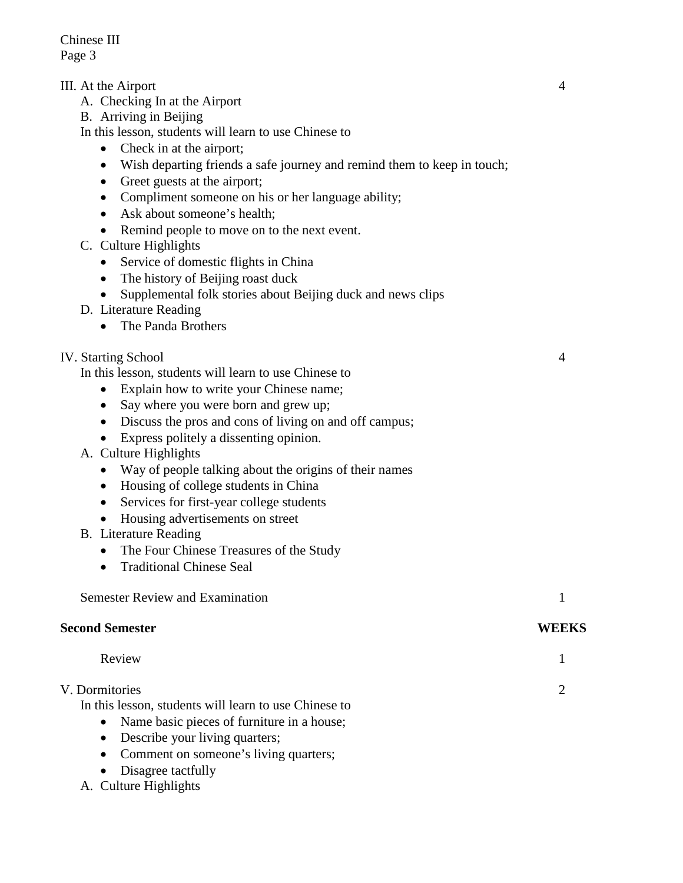- III. At the Airport 4
	- A. Checking In at the Airport
	- B. Arriving in Beijing

In this lesson, students will learn to use Chinese to

- Check in at the airport;
- Wish departing friends a safe journey and remind them to keep in touch;
- Greet guests at the airport;
- Compliment someone on his or her language ability;
- Ask about someone's health:
- Remind people to move on to the next event.
- C. Culture Highlights
	- Service of domestic flights in China
	- The history of Beijing roast duck
	- Supplemental folk stories about Beijing duck and news clips
- D. Literature Reading
	- The Panda Brothers

### IV. Starting School 4

In this lesson, students will learn to use Chinese to

- Explain how to write your Chinese name;
- Say where you were born and grew up;
- Discuss the pros and cons of living on and off campus;
- Express politely a dissenting opinion.
- A. Culture Highlights
	- Way of people talking about the origins of their names
	- Housing of college students in China
	- Services for first-year college students
	- Housing advertisements on street
- B. Literature Reading
	- The Four Chinese Treasures of the Study
	- Traditional Chinese Seal

Semester Review and Examination 1

#### **Second Semester WEEKS**

| Review |  |  |
|--------|--|--|
|        |  |  |

#### V. Dormitories 2

In this lesson, students will learn to use Chinese to

- Name basic pieces of furniture in a house;
- Describe your living quarters;
- Comment on someone's living quarters;
- Disagree tactfully
- A. Culture Highlights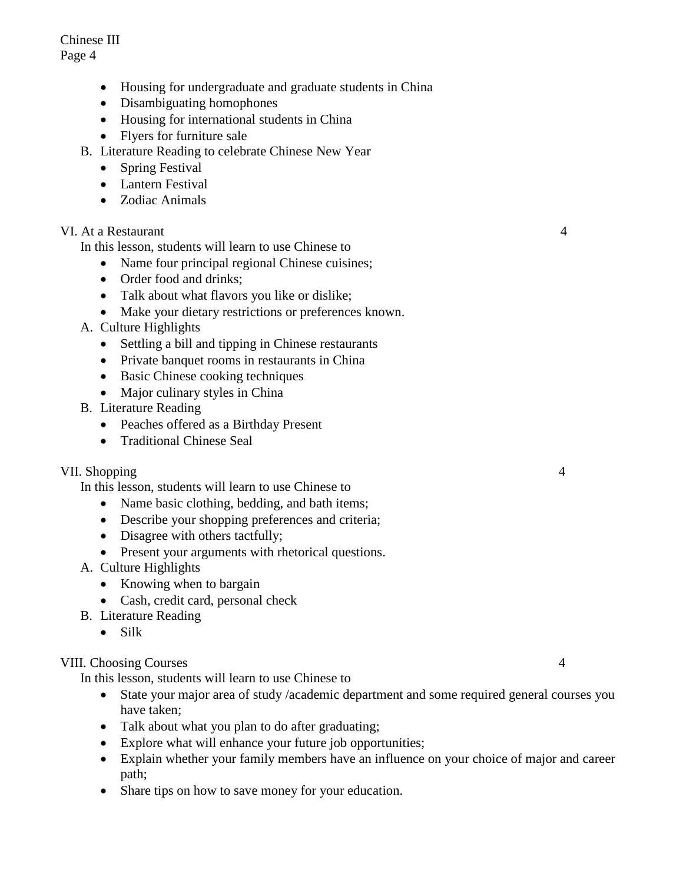- Housing for undergraduate and graduate students in China
- Disambiguating homophones
- Housing for international students in China
- Flyers for furniture sale
- B. Literature Reading to celebrate Chinese New Year
	- Spring Festival
	- Lantern Festival
	- Zodiac Animals

#### VI. At a Restaurant 4

In this lesson, students will learn to use Chinese to

- Name four principal regional Chinese cuisines;
- Order food and drinks:
- Talk about what flavors you like or dislike;
- Make your dietary restrictions or preferences known.
- A. Culture Highlights
	- Settling a bill and tipping in Chinese restaurants
	- Private banquet rooms in restaurants in China
	- Basic Chinese cooking techniques
	- Major culinary styles in China
- B. Literature Reading
	- Peaches offered as a Birthday Present
	- Traditional Chinese Seal

#### VII. Shopping 4

In this lesson, students will learn to use Chinese to

- Name basic clothing, bedding, and bath items;
- Describe your shopping preferences and criteria;
- Disagree with others tactfully;
- Present your arguments with rhetorical questions.
- A. Culture Highlights
	- Knowing when to bargain
	- Cash, credit card, personal check
- B. Literature Reading
	- Silk

### VIII. Choosing Courses 4

In this lesson, students will learn to use Chinese to

- State your major area of study /academic department and some required general courses you have taken;
- Talk about what you plan to do after graduating;
- Explore what will enhance your future job opportunities;
- Explain whether your family members have an influence on your choice of major and career path;
- Share tips on how to save money for your education.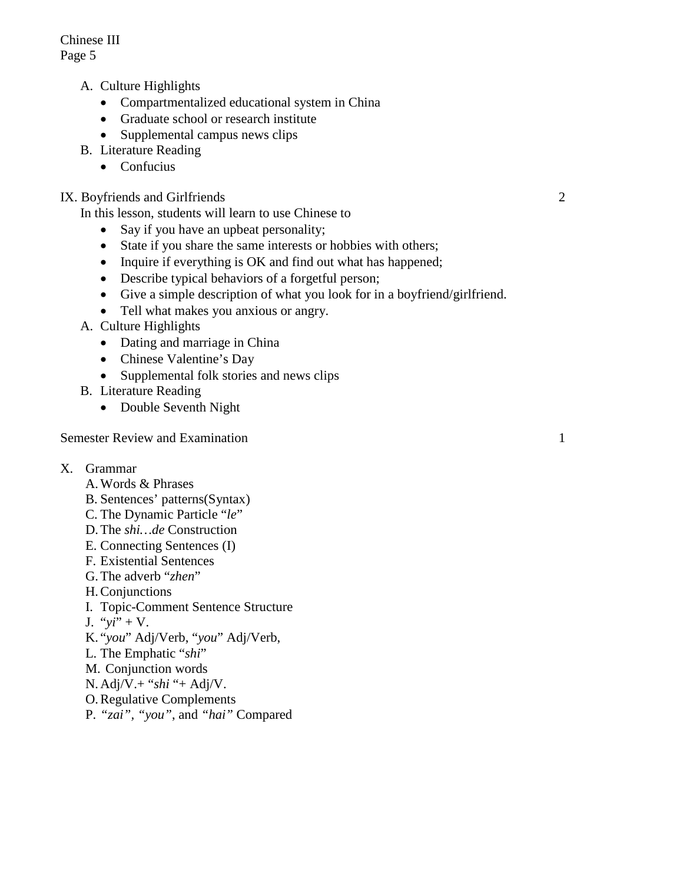- A. Culture Highlights
	- Compartmentalized educational system in China
	- Graduate school or research institute
	- Supplemental campus news clips
- B. Literature Reading
	- Confucius

## IX. Boyfriends and Girlfriends 2

In this lesson, students will learn to use Chinese to

- Say if you have an upbeat personality;
- State if you share the same interests or hobbies with others;
- Inquire if everything is OK and find out what has happened;
- Describe typical behaviors of a forgetful person;
- Give a simple description of what you look for in a boyfriend/girlfriend.
- Tell what makes you anxious or angry.
- A. Culture Highlights
	- Dating and marriage in China
	- Chinese Valentine's Day
	- Supplemental folk stories and news clips
- B. Literature Reading
	- Double Seventh Night

Semester Review and Examination 1

- X. Grammar
	- A.Words & Phrases
	- B. Sentences' patterns(Syntax)
	- C. The Dynamic Particle "*le*"
	- D.The *shi…de* Construction
	- E. Connecting Sentences (I)
	- F. Existential Sentences
	- G.The adverb "*zhen*"
	- H.Conjunctions
	- I. Topic-Comment Sentence Structure
	- J. "*yi*" + V.
	- K. "*you*" Adj/Verb, "*you*" Adj/Verb,
	- L. The Emphatic "*shi*"
	- M. Conjunction words
	- N. Adj/V.+ "*shi* "+ Adj/V.
	- O.Regulative Complements
	- P. *"zai", "you"*, and *"hai"* Compared